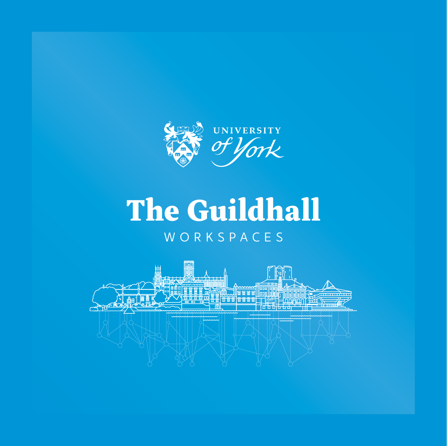

## WORKSPACES The Guildhall

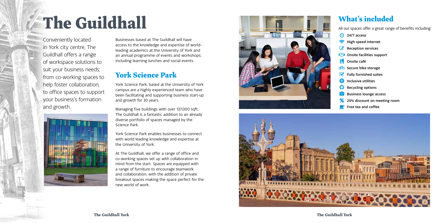**The Guildhall York**

## The Guildhall

Conveniently located in York city centre, The Guildhall offers a range of workspace solutions to suit your business needs; from co-working spaces to help foster collaboration, to office spaces to support your business's formation and growth.



## What's included

All our spaces offer a great range of benefits including:

- <sup>4</sup> 24/7 access
- High speed internet
- $\mathbb{Z}$  Reception services
- **CO** Onsite facilities support
- **Onsite café**
- Bo Secure bike storage
- $\triangledown$  Fully furnished suites
- Inclusive utilities
- Recycling options
- Business lounge access
- 25% discount on meeting room
- $\blacksquare$  Free tea and coffee

Businesses based at The Guildhall will have access to the knowledge and expertise of worldleading academics at the University of York and an annual programme of events and workshops; including learning lunches and social events.

## York Science Park

York Science Park, based at the University of York campus are a highly experienced team who have been facilitating and supporting business start-up and growth for 30 years.

Managing five buildings with over 137,000 sqft, The Guildhall is a fantastic addition to an already diverse portfolio of spaces managed by the Science Park.

York Science Park enables businesses to connect with world leading knowledge and expertise at the University of York.

At The Guildhall, we offer a range of office and co-working spaces set up with collaboration in mind from the start. Spaces are equipped with a range of furniture to encourage teamwork and collaboration, with the addition of private breakout spaces making the space perfect for the new world of work.